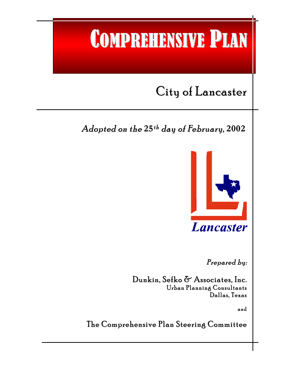# COMPREHENSIVE PLAN

## City of Lancaster

l

### Adopted on the **25**th day of February, **2002** th



Lancaster

Prepared by :

Dunkin, Sefko & Associates, Inc. Urban Planning Consultants Dallas, Texas

and

The Comprehensive Plan Steering Committee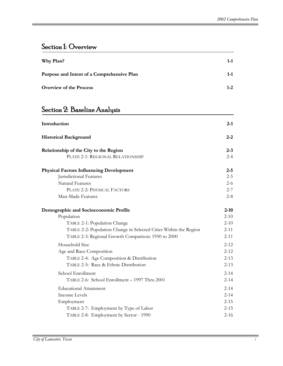#### Section 1: Overview

| Why Plan?                                  | $1 - 1$ |  |
|--------------------------------------------|---------|--|
| Purpose and Intent of a Comprehensive Plan | $1 - 1$ |  |
| <b>Overview of the Process</b>             | $1 - 2$ |  |

#### Section 2: Baseline Analysis

| Introduction                                                      | $2 - 1$  |
|-------------------------------------------------------------------|----------|
| <b>Historical Background</b>                                      | $2 - 2$  |
| Relationship of the City to the Region                            | $2 - 3$  |
| PLATE 2-1: REGIONAL RELATIONSHIP                                  | $2 - 4$  |
| <b>Physical Factors Influencing Development</b>                   | $2 - 5$  |
| Jurisdictional Features                                           | $2 - 5$  |
| <b>Natural Features</b>                                           | $2 - 6$  |
| PLATE 2-2: PHYSICAL FACTORS                                       | $2 - 7$  |
| Man-Made Features                                                 | $2 - 8$  |
| Demographic and Socioeconomic Profile                             | $2 - 10$ |
| Population                                                        | $2 - 10$ |
| TABLE 2-1: Population Change                                      | $2 - 10$ |
| TABLE 2-2: Population Change in Selected Cities Within the Region | $2 - 11$ |
| TABLE 2-3: Regional Growth Comparison: 1950 to 2000               | $2 - 11$ |
| Household Size                                                    | $2 - 12$ |
| Age and Race Composition                                          | $2 - 12$ |
| TABLE 2-4: Age Composition & Distribution                         | $2 - 13$ |
| TABLE 2-5: Race & Ethnic Distribution                             | $2 - 13$ |
| School Enrollment                                                 | $2 - 14$ |
| TABLE 2-6: School Enrollment - 1997 Thru 2001                     | $2 - 14$ |
| <b>Educational Attainment</b>                                     | $2 - 14$ |
| <b>Income Levels</b>                                              | $2 - 14$ |
| Employment                                                        | $2 - 15$ |
| TABLE 2-7: Employment by Type of Labor                            | $2 - 15$ |
| TABLE 2-8: Employment by Sector - 1990                            | $2 - 16$ |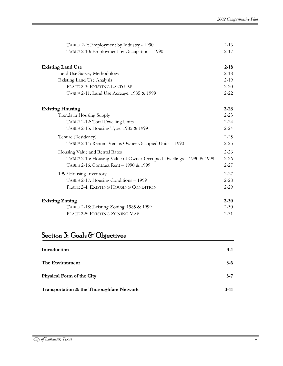| TABLE 2-9: Employment by Industry - 1990                            | $2 - 16$ |
|---------------------------------------------------------------------|----------|
| TABLE 2-10: Employment by Occupation - 1990                         | $2 - 17$ |
|                                                                     |          |
| <b>Existing Land Use</b>                                            | $2 - 18$ |
| Land Use Survey Methodology                                         | $2 - 18$ |
| <b>Existing Land Use Analysis</b>                                   | $2 - 19$ |
| PLATE 2-3: EXISTING LAND USE                                        | $2 - 20$ |
| TABLE 2-11: Land Use Acreage: 1985 & 1999                           | $2 - 22$ |
| <b>Existing Housing</b>                                             | $2 - 23$ |
| Trends in Housing Supply                                            | $2 - 23$ |
| TABLE 2-12: Total Dwelling Units                                    | $2 - 24$ |
| TABLE 2-13: Housing Type: 1985 & 1999                               | $2 - 24$ |
| Tenure (Residency)                                                  | $2 - 25$ |
| TABLE 2-14: Renter- Versus Owner-Occupied Units - 1990              | $2 - 25$ |
| Housing Value and Rental Rates                                      | $2 - 26$ |
| TABLE 2-15: Housing Value of Owner-Occupied Dwellings - 1990 & 1999 | $2 - 26$ |
| TABLE 2-16: Contract Rent - 1990 & 1999                             | $2 - 27$ |
| 1999 Housing Inventory                                              | $2 - 27$ |
| TABLE 2-17: Housing Conditions - 1999                               | $2 - 28$ |
| PLATE 2-4: EXISTING HOUSING CONDITION                               | $2 - 29$ |
| <b>Existing Zoning</b>                                              | $2 - 30$ |
| TABLE 2-18: Existing Zoning: 1985 & 1999                            | $2 - 30$ |
| PLATE 2-5: EXISTING ZONING MAP                                      | $2 - 31$ |

#### Section 3: Goals & Objectives

| Introduction                              | $3-1$   |
|-------------------------------------------|---------|
| The Environment                           | $3 - 6$ |
| <b>Physical Form of the City</b>          | $3 - 7$ |
| Transportation & the Thoroughfare Network | $3-11$  |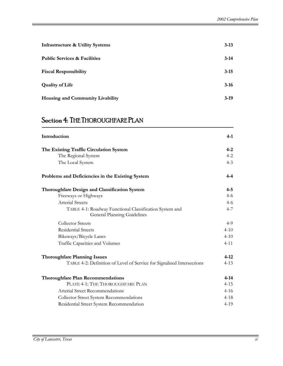| <b>Infrastructure &amp; Utility Systems</b> | $3 - 13$ |
|---------------------------------------------|----------|
| <b>Public Services &amp; Facilities</b>     | $3-14$   |
| <b>Fiscal Responsibility</b>                | $3 - 15$ |
| <b>Quality of Life</b>                      | $3-16$   |
| <b>Housing and Community Livability</b>     | $3-19$   |

#### Section 4: THE THOROUGHFARE PLAN

| Introduction                                                                           | 4-1      |
|----------------------------------------------------------------------------------------|----------|
| The Existing Traffic Circulation System                                                | $4 - 2$  |
| The Regional System                                                                    | $4 - 2$  |
| The Local System                                                                       | $4 - 3$  |
| Problems and Deficiencies in the Existing System                                       | 4-4      |
| <b>Thoroughfare Design and Classification System</b>                                   | $4 - 5$  |
| Freeways or Highways                                                                   | $4 - 6$  |
| <b>Arterial Streets</b>                                                                | $4 - 6$  |
| TABLE 4-1: Roadway Functional Classification System and<br>General Planning Guidelines | $4 - 7$  |
| <b>Collector Streets</b>                                                               | $4-9$    |
| <b>Residential Streets</b>                                                             | $4 - 10$ |
| Bikeways/Bicycle Lanes                                                                 | $4 - 10$ |
| Traffic Capacities and Volumes                                                         | $4 - 11$ |
| <b>Thoroughfare Planning Issues</b>                                                    | $4 - 12$ |
| TABLE 4-2: Definition of Level of Service for Signalized Intersections                 | $4 - 13$ |
| <b>Thoroughfare Plan Recommendations</b>                                               | $4 - 14$ |
| PLATE 4-1: THE THOROUGHFARE PLAN                                                       | $4 - 15$ |
| Arterial Street Recommendations                                                        | $4 - 16$ |
| Collector Street System Recommendations                                                | $4 - 18$ |
| Residential Street System Recommendation                                               | $4 - 19$ |
|                                                                                        |          |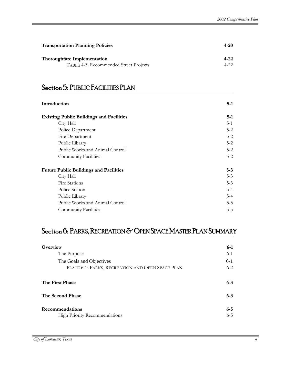| <b>Transportation Planning Policies</b> | 4-20  |
|-----------------------------------------|-------|
| <b>Thoroughfare Implementation</b>      | 4-22  |
| TABLE 4-3: Recommended Street Projects  | 4-22. |

#### Section 5: PUBLIC FACILITIES PLAN

| Introduction                                    | $5-1$   |
|-------------------------------------------------|---------|
| <b>Existing Public Buildings and Facilities</b> | $5-1$   |
| City Hall                                       | $5 - 1$ |
| Police Department                               | $5 - 2$ |
| Fire Department                                 | $5 - 2$ |
| Public Library                                  | $5 - 2$ |
| Public Works and Animal Control                 | $5-2$   |
| Community Facilities                            | $5 - 2$ |
| <b>Future Public Buildings and Facilities</b>   | $5 - 3$ |
| City Hall                                       | $5 - 3$ |
| <b>Fire Stations</b>                            | $5 - 3$ |
| Police Station                                  | $5-4$   |
| Public Library                                  | $5 - 4$ |
| Public Works and Animal Control                 | $5 - 5$ |
| <b>Community Facilities</b>                     | $5 - 5$ |

#### Section 6: PARKS, RECREATION & OPEN SPACE MASTER PLAN SUMMARY

| Overview                                         | $6-1$   |
|--------------------------------------------------|---------|
| The Purpose                                      | $6 - 1$ |
| The Goals and Objectives                         | $6-1$   |
| PLATE 6-1: PARKS, RECREATION AND OPEN SPACE PLAN | $6 - 2$ |
| The First Phase                                  | $6 - 3$ |
| The Second Phase                                 | $6 - 3$ |
| <b>Recommendations</b>                           | $6 - 5$ |
| <b>High Priority Recommendations</b>             | $6 - 5$ |

ֺ֝֡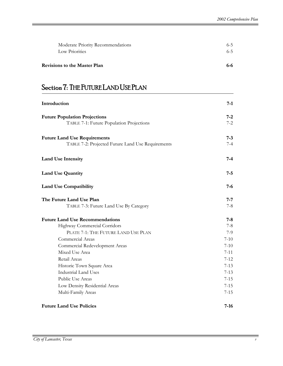| Revisions to the Master Plan      | 6-6     |
|-----------------------------------|---------|
| Low Priorities                    | $6 - 5$ |
| Moderate Priority Recommendations | $6 - 5$ |

#### Section 7: THE FUTURE LAND USE PLAN

| Introduction                                      | 7-1      |
|---------------------------------------------------|----------|
| <b>Future Population Projections</b>              | 7-2      |
| TABLE 7-1: Future Population Projections          | $7 - 2$  |
| <b>Future Land Use Requirements</b>               | $7 - 3$  |
| TABLE 7-2: Projected Future Land Use Requirements | $7-4$    |
| <b>Land Use Intensity</b>                         | $7 - 4$  |
| <b>Land Use Quantity</b>                          | $7 - 5$  |
| <b>Land Use Compatibility</b>                     | 7-6      |
| The Future Land Use Plan                          | $7 - 7$  |
| TABLE 7-3: Future Land Use By Category            | $7 - 8$  |
| <b>Future Land Use Recommendations</b>            | $7 - 8$  |
| Highway Commercial Corridors                      | $7-8$    |
| PLATE 7-1: THE FUTURE LAND USE PLAN               | 7-9      |
| Commercial Areas                                  | $7 - 10$ |
| Commercial Redevelopment Areas                    | $7 - 10$ |
| Mixed Use Area                                    | $7 - 11$ |
| Retail Areas                                      | $7 - 12$ |
| Historic Town Square Area                         | $7 - 13$ |
| <b>Industrial Land Uses</b>                       | $7 - 13$ |
| Public Use Areas                                  | $7 - 15$ |
| Low Density Residential Areas                     | $7 - 15$ |
| Multi-Family Areas                                | $7 - 15$ |
| <b>Future Land Use Policies</b>                   | $7-16$   |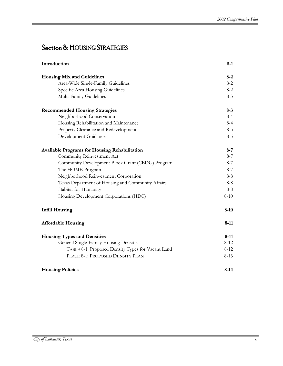#### Section 8: HOUSING STRATEGIES

| Introduction                                         | $8-1$    |
|------------------------------------------------------|----------|
| <b>Housing Mix and Guidelines</b>                    | $8 - 2$  |
| Area-Wide Single-Family Guidelines                   | $8 - 2$  |
| Specific Area Housing Guidelines                     | $8 - 2$  |
| Multi-Family Guidelines                              | $8-3$    |
| <b>Recommended Housing Strategies</b>                | $8 - 3$  |
| Neighborhood Conservation                            | $8 - 4$  |
| Housing Rehabilitation and Maintenance               | $8 - 4$  |
| Property Clearance and Redevelopment                 | $8 - 5$  |
| Development Guidance                                 | $8 - 5$  |
| <b>Available Programs for Housing Rehabilitation</b> | $8 - 7$  |
| Community Reinvestment Act                           | $8 - 7$  |
| Community Development Block Grant (CBDG) Program     | $8 - 7$  |
| The HOME Program                                     | $8 - 7$  |
| Neighborhood Reinvestment Corporation                | $8 - 8$  |
| Texas Department of Housing and Community Affairs    | $8 - 8$  |
| Habitat for Humanity                                 | $8 - 8$  |
| Housing Development Corporations (HDC)               | $8 - 10$ |
| <b>Infill Housing</b>                                | $8 - 10$ |
| <b>Affordable Housing</b>                            | $8-11$   |
| <b>Housing Types and Densities</b>                   | $8 - 11$ |
| General Single-Family Housing Densities              | $8 - 12$ |
| TABLE 8-1: Proposed Density Types for Vacant Land    | $8 - 12$ |
| PLATE 8-1: PROPOSED DENSITY PLAN                     | $8 - 13$ |
| <b>Housing Policies</b>                              | $8-14$   |